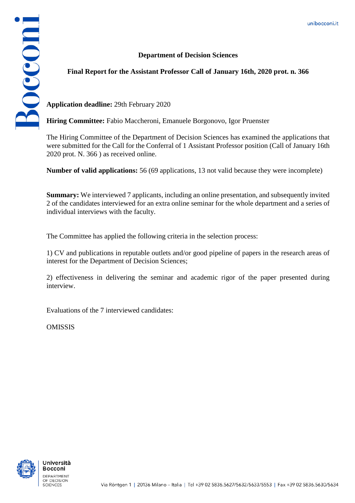## **Department of Decision Sciences**



**Application deadline:** 29th February 2020

**Hiring Committee:** Fabio Maccheroni, Emanuele Borgonovo, Igor Pruenster

The Hiring Committee of the Department of Decision Sciences has examined the applications that were submitted for the Call for the Conferral of 1 Assistant Professor position (Call of January 16th 2020 prot. N. 366 ) as received online.

**Number of valid applications:** 56 (69 applications, 13 not valid because they were incomplete)

**Summary:** We interviewed 7 applicants, including an online presentation, and subsequently invited 2 of the candidates interviewed for an extra online seminar for the whole department and a series of individual interviews with the faculty.

The Committee has applied the following criteria in the selection process:

1) CV and publications in reputable outlets and/or good pipeline of papers in the research areas of interest for the Department of Decision Sciences;

2) effectiveness in delivering the seminar and academic rigor of the paper presented during interview.

Evaluations of the 7 interviewed candidates:

OMISSIS



Bocconi